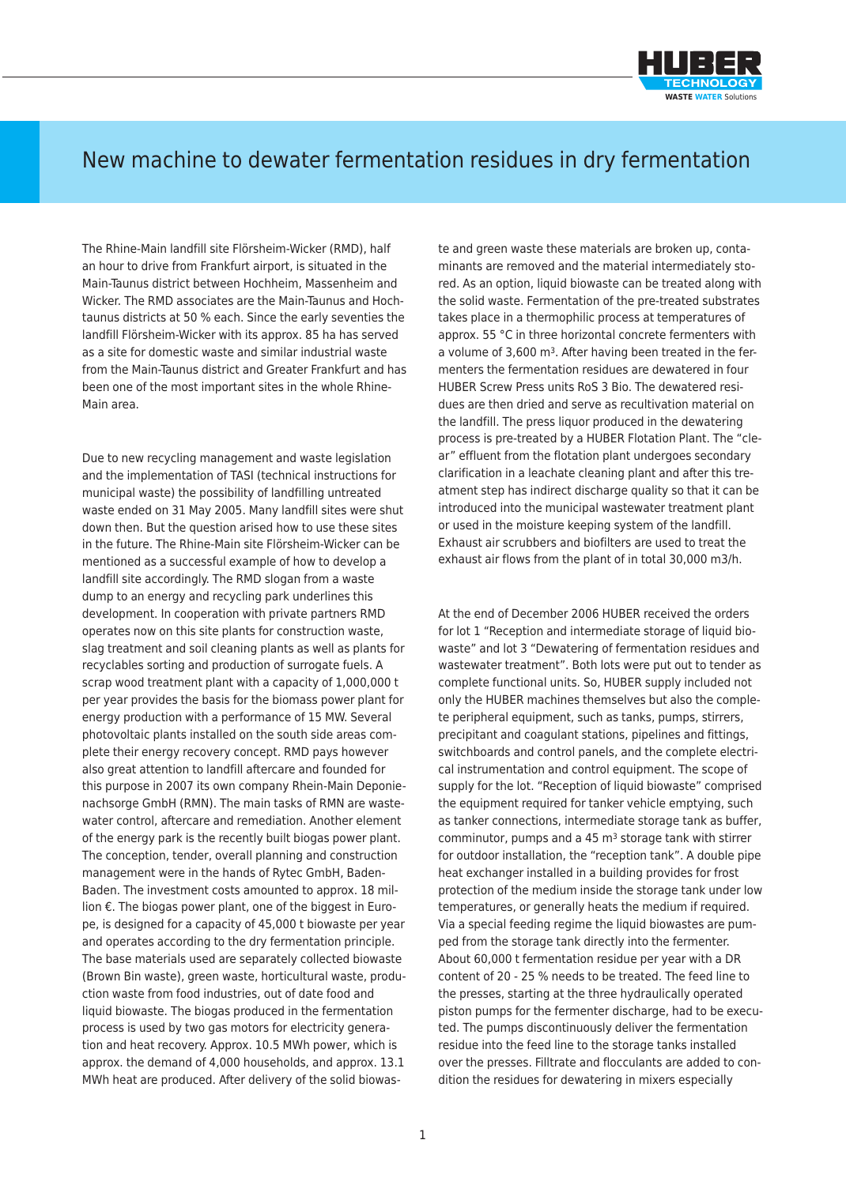

## New machine to dewater fermentation residues in dry fermentation

The Rhine-Main landfill site Flörsheim-Wicker (RMD), half an hour to drive from Frankfurt airport, is situated in the Main-Taunus district between Hochheim, Massenheim and Wicker. The RMD associates are the Main-Taunus and Hochtaunus districts at 50 % each. Since the early seventies the landfill Flörsheim-Wicker with its approx. 85 ha has served as a site for domestic waste and similar industrial waste from the Main-Taunus district and Greater Frankfurt and has been one of the most important sites in the whole Rhine-Main area.

Due to new recycling management and waste legislation and the implementation of TASI (technical instructions for municipal waste) the possibility of landfilling untreated waste ended on 31 May 2005. Many landfill sites were shut down then. But the question arised how to use these sites in the future. The Rhine-Main site Flörsheim-Wicker can be mentioned as a successful example of how to develop a landfill site accordingly. The RMD slogan from a waste dump to an energy and recycling park underlines this development. In cooperation with private partners RMD operates now on this site plants for construction waste, slag treatment and soil cleaning plants as well as plants for recyclables sorting and production of surrogate fuels. A scrap wood treatment plant with a capacity of 1,000,000 t per year provides the basis for the biomass power plant for energy production with a performance of 15 MW. Several photovoltaic plants installed on the south side areas complete their energy recovery concept. RMD pays however also great attention to landfill aftercare and founded for this purpose in 2007 its own company Rhein-Main Deponienachsorge GmbH (RMN). The main tasks of RMN are wastewater control, aftercare and remediation. Another element of the energy park is the recently built biogas power plant. The conception, tender, overall planning and construction management were in the hands of Rytec GmbH, Baden-Baden. The investment costs amounted to approx. 18 million €. The biogas power plant, one of the biggest in Europe, is designed for a capacity of 45,000 t biowaste per year and operates according to the dry fermentation principle. The base materials used are separately collected biowaste (Brown Bin waste), green waste, horticultural waste, production waste from food industries, out of date food and liquid biowaste. The biogas produced in the fermentation process is used by two gas motors for electricity generation and heat recovery. Approx. 10.5 MWh power, which is approx. the demand of 4,000 households, and approx. 13.1 MWh heat are produced. After delivery of the solid biowas-

te and green waste these materials are broken up, contaminants are removed and the material intermediately stored. As an option, liquid biowaste can be treated along with the solid waste. Fermentation of the pre-treated substrates takes place in a thermophilic process at temperatures of approx. 55 °C in three horizontal concrete fermenters with a volume of 3,600 m3. After having been treated in the fermenters the fermentation residues are dewatered in four HUBER Screw Press units RoS 3 Bio. The dewatered residues are then dried and serve as recultivation material on the landfill. The press liquor produced in the dewatering process is pre-treated by a HUBER Flotation Plant. The "clear" effluent from the flotation plant undergoes secondary clarification in a leachate cleaning plant and after this treatment step has indirect discharge quality so that it can be introduced into the municipal wastewater treatment plant or used in the moisture keeping system of the landfill. Exhaust air scrubbers and biofilters are used to treat the exhaust air flows from the plant of in total 30,000 m3/h.

At the end of December 2006 HUBER received the orders for lot 1 "Reception and intermediate storage of liquid biowaste" and lot 3 "Dewatering of fermentation residues and wastewater treatment". Both lots were put out to tender as complete functional units. So, HUBER supply included not only the HUBER machines themselves but also the complete peripheral equipment, such as tanks, pumps, stirrers, precipitant and coagulant stations, pipelines and fittings, switchboards and control panels, and the complete electrical instrumentation and control equipment. The scope of supply for the lot. "Reception of liquid biowaste" comprised the equipment required for tanker vehicle emptying, such as tanker connections, intermediate storage tank as buffer, comminutor, pumps and a 45 m3 storage tank with stirrer for outdoor installation, the "reception tank". A double pipe heat exchanger installed in a building provides for frost protection of the medium inside the storage tank under low temperatures, or generally heats the medium if required. Via a special feeding regime the liquid biowastes are pumped from the storage tank directly into the fermenter. About 60,000 t fermentation residue per year with a DR content of 20 - 25 % needs to be treated. The feed line to the presses, starting at the three hydraulically operated piston pumps for the fermenter discharge, had to be executed. The pumps discontinuously deliver the fermentation residue into the feed line to the storage tanks installed over the presses. Filltrate and flocculants are added to condition the residues for dewatering in mixers especially